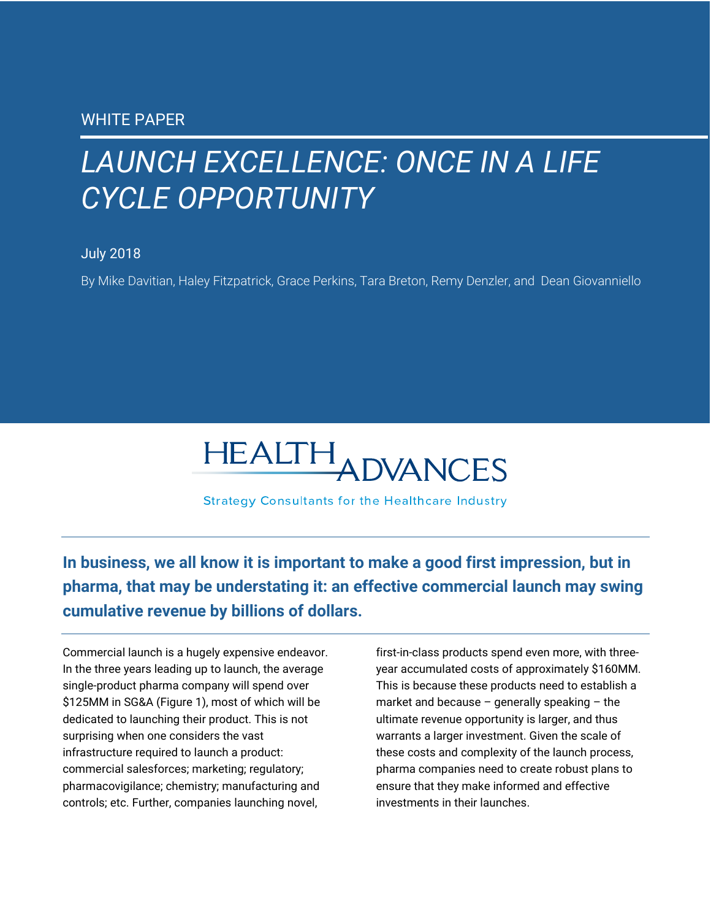# *LAUNCH EXCELLENCE: ONCE IN A LIFE CYCLE OPPORTUNITY*

### July 2018

By Mike Davitian, Haley Fitzpatrick, Grace Perkins, Tara Breton, Remy Denzler, and Dean Giovanniello



**Strategy Consultants for the Healthcare Industry** 

**In business, we all know it is important to make a good first impression, but in pharma, that may be understating it: an effective commercial launch may swing cumulative revenue by billions of dollars.** 

Commercial launch is a hugely expensive endeavor. In the three years leading up to launch, the average single-product pharma company will spend over \$125MM in SG&A (Figure 1), most of which will be dedicated to launching their product. This is not surprising when one considers the vast infrastructure required to launch a product: commercial salesforces; marketing; regulatory; pharmacovigilance; chemistry; manufacturing and controls; etc. Further, companies launching novel,

first-in-class products spend even more, with threeyear accumulated costs of approximately \$160MM. This is because these products need to establish a market and because  $-$  generally speaking  $-$  the ultimate revenue opportunity is larger, and thus warrants a larger investment. Given the scale of these costs and complexity of the launch process, pharma companies need to create robust plans to ensure that they make informed and effective investments in their launches.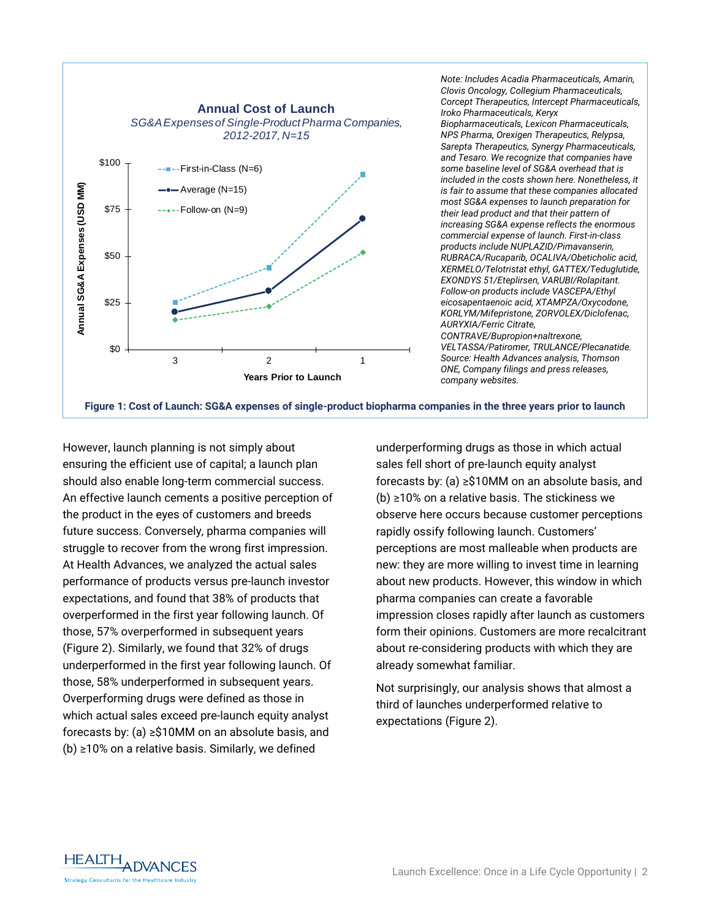

*Note: Includes Acadia Pharmaceuticals, Amarin, Clovis Oncology, Collegium Pharmaceuticals, Corcept Therapeutics, Intercept Pharmaceuticals, Iroko Pharmaceuticals, Keryx Biopharmaceuticals, Lexicon Pharmaceuticals, NPS Pharma, Orexigen Therapeutics, Relypsa, Sarepta Therapeutics, Synergy Pharmaceuticals, and Tesaro. We recognize that companies have some baseline level of SG&A overhead that is included in the costs shown here. Nonetheless, it is fair to assume that these companies allocated most SG&A expenses to launch preparation for their lead product and that their pattern of increasing SG&A expense reflects the enormous commercial expense of launch. First-in-class products include NUPLAZID/Pimavanserin, RUBRACA/Rucaparib, OCALIVA/Obeticholic acid, XERMELO/Telotristat ethyl, GATTEX/Teduglutide, EXONDYS 51/Eteplirsen, VARUBI/Rolapitant. Follow-on products include VASCEPA/Ethyl eicosapentaenoic acid, XTAMPZA/Oxycodone, KORLYM/Mifepristone, ZORVOLEX/Diclofenac, AURYXIA/Ferric Citrate, CONTRAVE/Bupropion+naltrexone, VELTASSA/Patiromer, TRULANCE/Plecanatide. Source: Health Advances analysis, Thomson ONE, Company filings and press releases, company websites.*

**Figure 1: Cost of Launch: SG&A expenses of single-product biopharma companies in the three years prior to launch**

However, launch planning is not simply about ensuring the efficient use of capital; a launch plan should also enable long-term commercial success. An effective launch cements a positive perception of the product in the eyes of customers and breeds future success. Conversely, pharma companies will struggle to recover from the wrong first impression. At Health Advances, we analyzed the actual sales performance of products versus pre-launch investor expectations, and found that 38% of products that overperformed in the first year following launch. Of those, 57% overperformed in subsequent years (Figure 2). Similarly, we found that 32% of drugs underperformed in the first year following launch. Of those, 58% underperformed in subsequent years. Overperforming drugs were defined as those in which actual sales exceed pre-launch equity analyst forecasts by: (a) ≥\$10MM on an absolute basis, and (b) ≥10% on a relative basis. Similarly, we defined

underperforming drugs as those in which actual sales fell short of pre-launch equity analyst forecasts by: (a) ≥\$10MM on an absolute basis, and (b) ≥10% on a relative basis. The stickiness we observe here occurs because customer perceptions rapidly ossify following launch. Customers' perceptions are most malleable when products are new: they are more willing to invest time in learning about new products. However, this window in which pharma companies can create a favorable impression closes rapidly after launch as customers form their opinions. Customers are more recalcitrant about re-considering products with which they are already somewhat familiar.

Not surprisingly, our analysis shows that almost a third of launches underperformed relative to expectations (Figure 2).

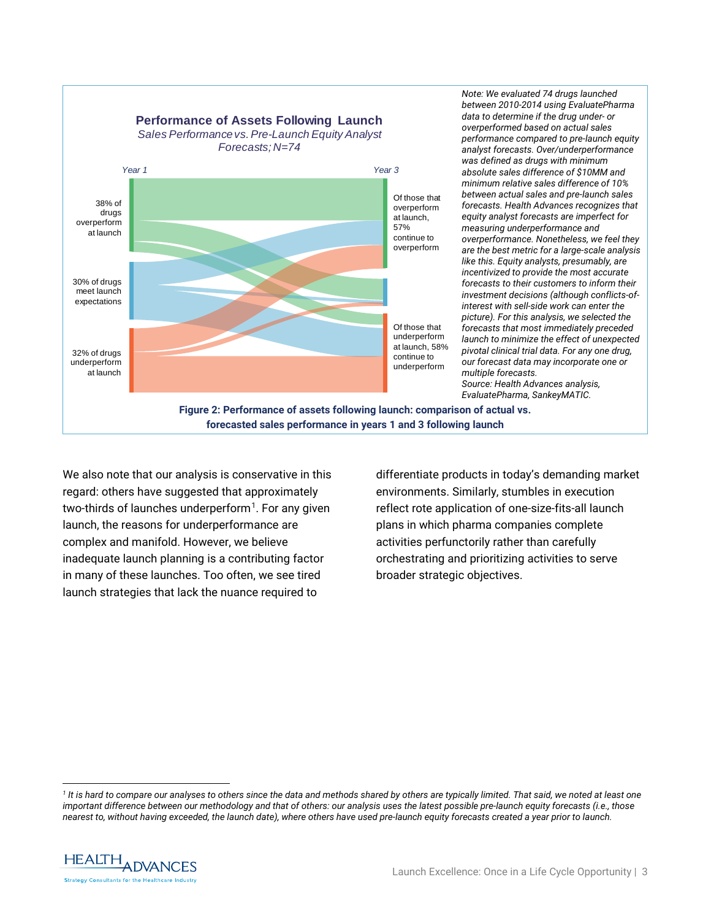

*Note: We evaluated 74 drugs launched between 2010-2014 using EvaluatePharma data to determine if the drug under- or overperformed based on actual sales performance compared to pre-launch equity analyst forecasts. Over/underperformance was defined as drugs with minimum absolute sales difference of \$10MM and minimum relative sales difference of 10% between actual sales and pre-launch sales forecasts. Health Advances recognizes that equity analyst forecasts are imperfect for measuring underperformance and overperformance. Nonetheless, we feel they are the best metric for a large-scale analysis like this. Equity analysts, presumably, are incentivized to provide the most accurate forecasts to their customers to inform their investment decisions (although conflicts-ofinterest with sell-side work can enter the picture). For this analysis, we selected the forecasts that most immediately preceded launch to minimize the effect of unexpected pivotal clinical trial data. For any one drug, our forecast data may incorporate one or multiple forecasts. Source: Health Advances analysis, EvaluatePharma, SankeyMATIC.*

**Figure 2: Performance of assets following launch: comparison of actual vs. forecasted sales performance in years 1 and 3 following launch**

We also note that our analysis is conservative in this regard: others have suggested that approximately two-thirds of launches underperform<sup>[1](#page-2-0)</sup>. For any given launch, the reasons for underperformance are complex and manifold. However, we believe inadequate launch planning is a contributing factor in many of these launches. Too often, we see tired launch strategies that lack the nuance required to

differentiate products in today's demanding market environments. Similarly, stumbles in execution reflect rote application of one-size-fits-all launch plans in which pharma companies complete activities perfunctorily rather than carefully orchestrating and prioritizing activities to serve broader strategic objectives.

<span id="page-2-0"></span>*<sup>1</sup> It is hard to compare our analyses to others since the data and methods shared by others are typically limited. That said, we noted at least one important difference between our methodology and that of others: our analysis uses the latest possible pre-launch equity forecasts (i.e., those nearest to, without having exceeded, the launch date), where others have used pre-launch equity forecasts created a year prior to launch.* 



 $\ddot{\phantom{a}}$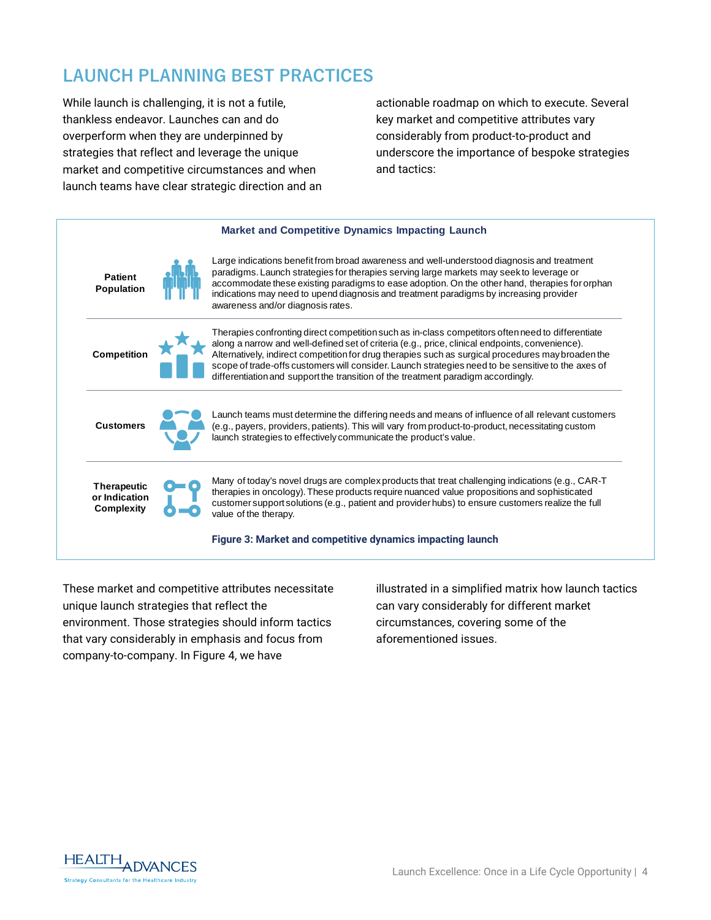## **LAUNCH PLANNING BEST PRACTICES**

While launch is challenging, it is not a futile, thankless endeavor. Launches can and do overperform when they are underpinned by strategies that reflect and leverage the unique market and competitive circumstances and when launch teams have clear strategic direction and an actionable roadmap on which to execute. Several key market and competitive attributes vary considerably from product-to-product and underscore the importance of bespoke strategies and tactics:



These market and competitive attributes necessitate unique launch strategies that reflect the environment. Those strategies should inform tactics that vary considerably in emphasis and focus from company-to-company. In Figure 4, we have

illustrated in a simplified matrix how launch tactics can vary considerably for different market circumstances, covering some of the aforementioned issues.

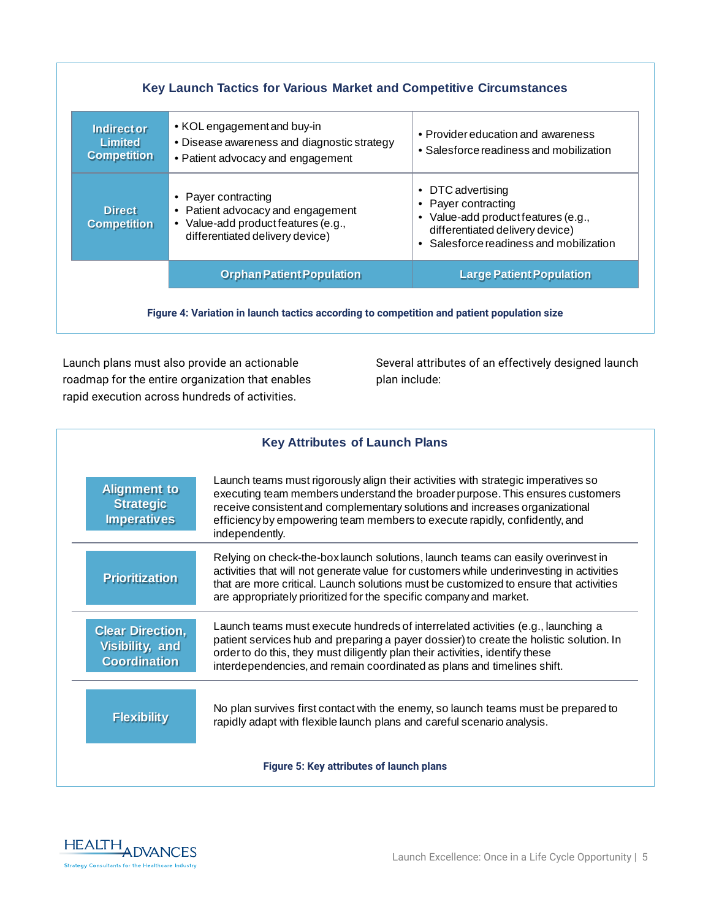| <b>Indirect or</b><br><b>Limited</b> | • KOL engagement and buy-in<br>• Disease awareness and diagnostic strategy                                                         | • Provider education and awareness                                                                                                                            |
|--------------------------------------|------------------------------------------------------------------------------------------------------------------------------------|---------------------------------------------------------------------------------------------------------------------------------------------------------------|
| <b>Competition</b>                   | • Patient advocacy and engagement                                                                                                  | • Salesforce readiness and mobilization                                                                                                                       |
| <b>Direct</b><br><b>Competition</b>  | • Payer contracting<br>• Patient advocacy and engagement<br>• Value-add product features (e.g.,<br>differentiated delivery device) | • DTC advertising<br>• Payer contracting<br>• Value-add product features (e.g.,<br>differentiated delivery device)<br>• Salesforce readiness and mobilization |
|                                      | <b>Orphan Patient Population</b>                                                                                                   | <b>Large Patient Population</b>                                                                                                                               |

Launch plans must also provide an actionable roadmap for the entire organization that enables rapid execution across hundreds of activities.

Several attributes of an effectively designed launch plan include:

| <b>Key Attributes of Launch Plans</b>                             |                                                                                                                                                                                                                                                                                                                                                   |  |
|-------------------------------------------------------------------|---------------------------------------------------------------------------------------------------------------------------------------------------------------------------------------------------------------------------------------------------------------------------------------------------------------------------------------------------|--|
| <b>Alignment to</b><br><b>Strategic</b><br><b>Imperatives</b>     | Launch teams must rigorously align their activities with strategic imperatives so<br>executing team members understand the broader purpose. This ensures customers<br>receive consistent and complementary solutions and increases organizational<br>efficiency by empowering team members to execute rapidly, confidently, and<br>independently. |  |
| <b>Prioritization</b>                                             | Relying on check-the-box launch solutions, launch teams can easily overinvest in<br>activities that will not generate value for customers while underinvesting in activities<br>that are more critical. Launch solutions must be customized to ensure that activities<br>are appropriately prioritized for the specific company and market.       |  |
| <b>Clear Direction,</b><br>Visibility, and<br><b>Coordination</b> | Launch teams must execute hundreds of interrelated activities (e.g., launching a<br>patient services hub and preparing a payer dossier) to create the holistic solution. In<br>order to do this, they must diligently plan their activities, identify these<br>interdependencies, and remain coordinated as plans and timelines shift.            |  |
| <b>Flexibility</b>                                                | No plan survives first contact with the enemy, so launch teams must be prepared to<br>rapidly adapt with flexible launch plans and careful scenario analysis.                                                                                                                                                                                     |  |
| Figure 5: Key attributes of launch plans                          |                                                                                                                                                                                                                                                                                                                                                   |  |

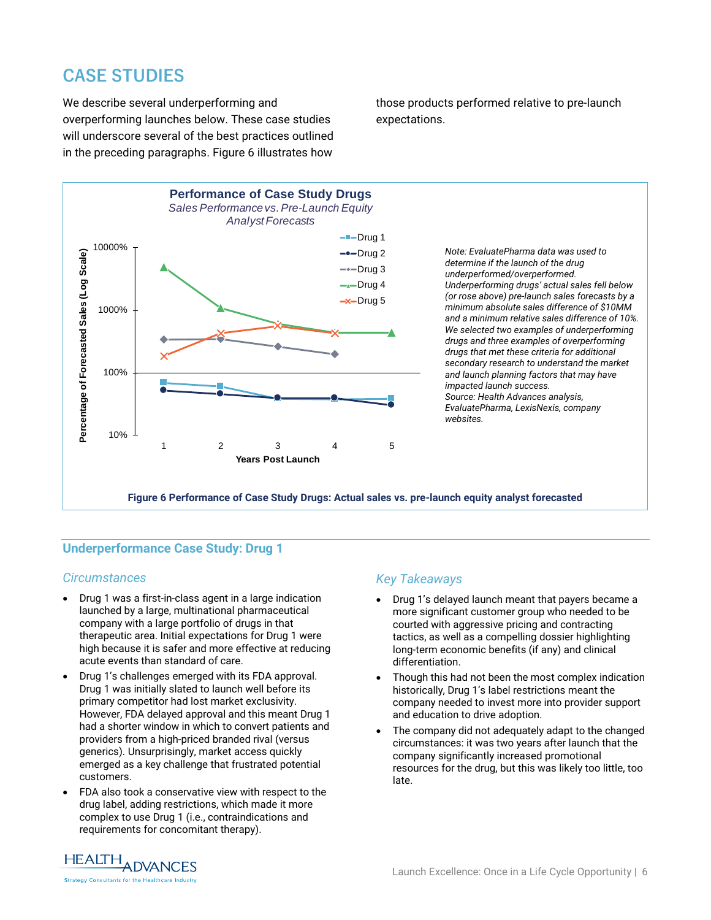## **CASE STUDIES**

We describe several underperforming and overperforming launches below. These case studies will underscore several of the best practices outlined in the preceding paragraphs. Figure 6 illustrates how those products performed relative to pre-launch expectations.



### **Underperformance Case Study: Drug 1**

#### *Circumstances*

- Drug 1 was a first-in-class agent in a large indication launched by a large, multinational pharmaceutical company with a large portfolio of drugs in that therapeutic area. Initial expectations for Drug 1 were high because it is safer and more effective at reducing acute events than standard of care.
- Drug 1's challenges emerged with its FDA approval. Drug 1 was initially slated to launch well before its primary competitor had lost market exclusivity. However, FDA delayed approval and this meant Drug 1 had a shorter window in which to convert patients and providers from a high-priced branded rival (versus generics). Unsurprisingly, market access quickly emerged as a key challenge that frustrated potential customers.
- FDA also took a conservative view with respect to the drug label, adding restrictions, which made it more complex to use Drug 1 (i.e., contraindications and requirements for concomitant therapy).

#### *Key Takeaways*

- Drug 1's delayed launch meant that payers became a more significant customer group who needed to be courted with aggressive pricing and contracting tactics, as well as a compelling dossier highlighting long-term economic benefits (if any) and clinical differentiation.
- Though this had not been the most complex indication historically, Drug 1's label restrictions meant the company needed to invest more into provider support and education to drive adoption.
- The company did not adequately adapt to the changed circumstances: it was two years after launch that the company significantly increased promotional resources for the drug, but this was likely too little, too late.

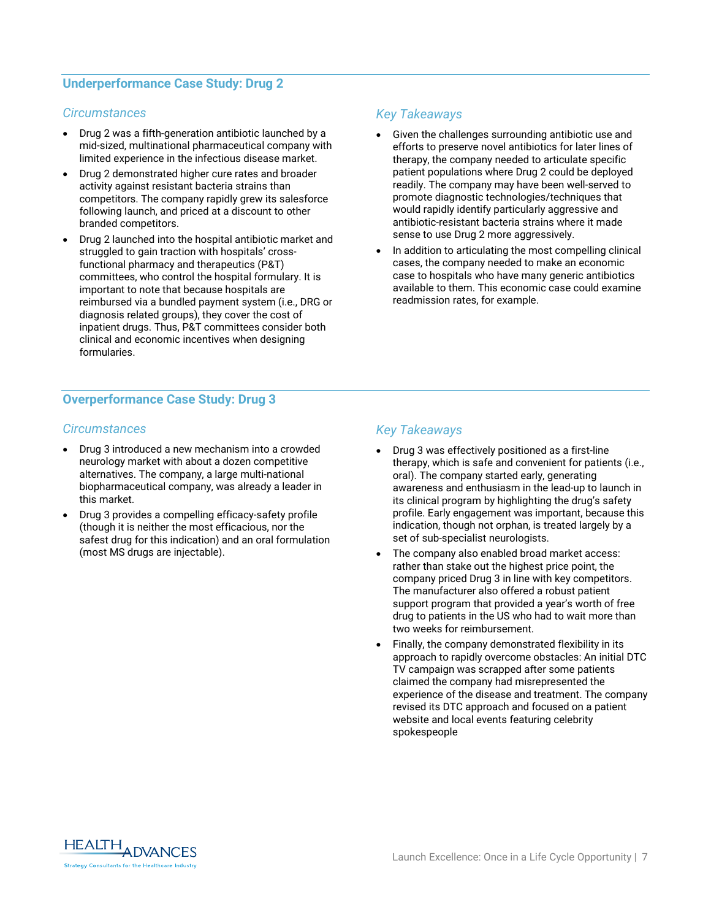#### **Underperformance Case Study: Drug 2**

#### *Circumstances*

- Drug 2 was a fifth-generation antibiotic launched by a mid-sized, multinational pharmaceutical company with limited experience in the infectious disease market.
- Drug 2 demonstrated higher cure rates and broader activity against resistant bacteria strains than competitors. The company rapidly grew its salesforce following launch, and priced at a discount to other branded competitors.
- Drug 2 launched into the hospital antibiotic market and struggled to gain traction with hospitals' crossfunctional pharmacy and therapeutics (P&T) committees, who control the hospital formulary. It is important to note that because hospitals are reimbursed via a bundled payment system (i.e., DRG or diagnosis related groups), they cover the cost of inpatient drugs. Thus, P&T committees consider both clinical and economic incentives when designing formularies.

### **Overperformance Case Study: Drug 3**

#### *Circumstances*

- Drug 3 introduced a new mechanism into a crowded neurology market with about a dozen competitive alternatives. The company, a large multi-national biopharmaceutical company, was already a leader in this market.
- Drug 3 provides a compelling efficacy-safety profile (though it is neither the most efficacious, nor the safest drug for this indication) and an oral formulation (most MS drugs are injectable).

#### *Key Takeaways*

- Given the challenges surrounding antibiotic use and efforts to preserve novel antibiotics for later lines of therapy, the company needed to articulate specific patient populations where Drug 2 could be deployed readily. The company may have been well-served to promote diagnostic technologies/techniques that would rapidly identify particularly aggressive and antibiotic-resistant bacteria strains where it made sense to use Drug 2 more aggressively.
- In addition to articulating the most compelling clinical cases, the company needed to make an economic case to hospitals who have many generic antibiotics available to them. This economic case could examine readmission rates, for example.

#### *Key Takeaways*

- Drug 3 was effectively positioned as a first-line therapy, which is safe and convenient for patients (i.e., oral). The company started early, generating awareness and enthusiasm in the lead-up to launch in its clinical program by highlighting the drug's safety profile. Early engagement was important, because this indication, though not orphan, is treated largely by a set of sub-specialist neurologists.
- The company also enabled broad market access: rather than stake out the highest price point, the company priced Drug 3 in line with key competitors. The manufacturer also offered a robust patient support program that provided a year's worth of free drug to patients in the US who had to wait more than two weeks for reimbursement.
- Finally, the company demonstrated flexibility in its approach to rapidly overcome obstacles: An initial DTC TV campaign was scrapped after some patients claimed the company had misrepresented the experience of the disease and treatment. The company revised its DTC approach and focused on a patient website and local events featuring celebrity spokespeople

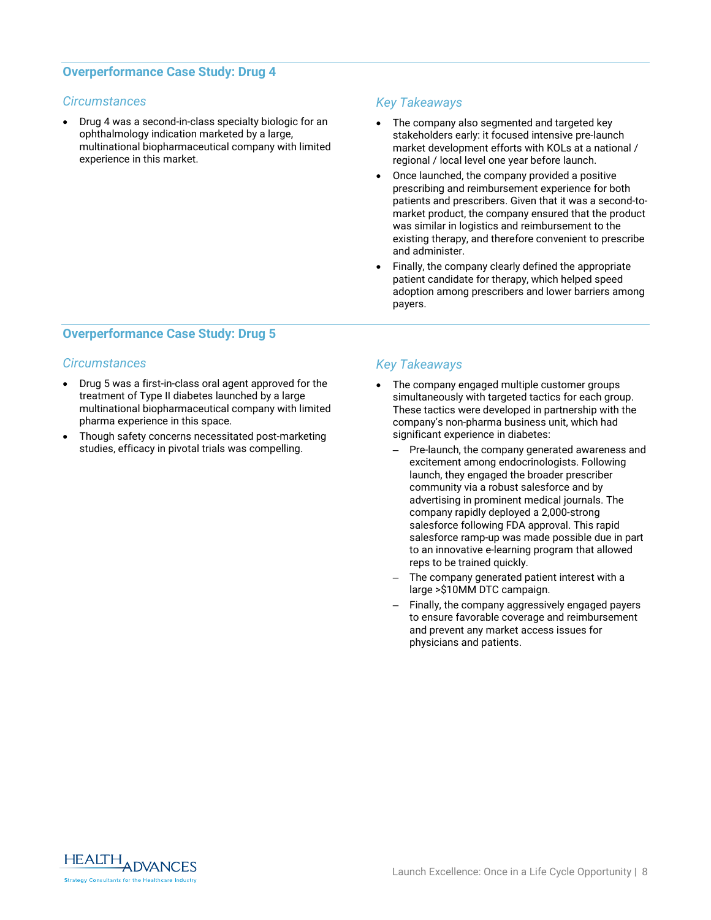#### **Overperformance Case Study: Drug 4**

#### *Circumstances*

• Drug 4 was a second-in-class specialty biologic for an ophthalmology indication marketed by a large, multinational biopharmaceutical company with limited experience in this market.

#### *Key Takeaways*

- The company also segmented and targeted key stakeholders early: it focused intensive pre-launch market development efforts with KOLs at a national / regional / local level one year before launch.
- Once launched, the company provided a positive prescribing and reimbursement experience for both patients and prescribers. Given that it was a second-tomarket product, the company ensured that the product was similar in logistics and reimbursement to the existing therapy, and therefore convenient to prescribe and administer.
- Finally, the company clearly defined the appropriate patient candidate for therapy, which helped speed adoption among prescribers and lower barriers among payers.

#### **Overperformance Case Study: Drug 5**

#### *Circumstances*

- Drug 5 was a first-in-class oral agent approved for the treatment of Type II diabetes launched by a large multinational biopharmaceutical company with limited pharma experience in this space.
- Though safety concerns necessitated post-marketing studies, efficacy in pivotal trials was compelling.

#### *Key Takeaways*

- The company engaged multiple customer groups simultaneously with targeted tactics for each group. These tactics were developed in partnership with the company's non-pharma business unit, which had significant experience in diabetes:
	- Pre-launch, the company generated awareness and excitement among endocrinologists. Following launch, they engaged the broader prescriber community via a robust salesforce and by advertising in prominent medical journals. The company rapidly deployed a 2,000-strong salesforce following FDA approval. This rapid salesforce ramp-up was made possible due in part to an innovative e-learning program that allowed reps to be trained quickly.
	- The company generated patient interest with a large >\$10MM DTC campaign.
	- Finally, the company aggressively engaged payers to ensure favorable coverage and reimbursement and prevent any market access issues for physicians and patients.

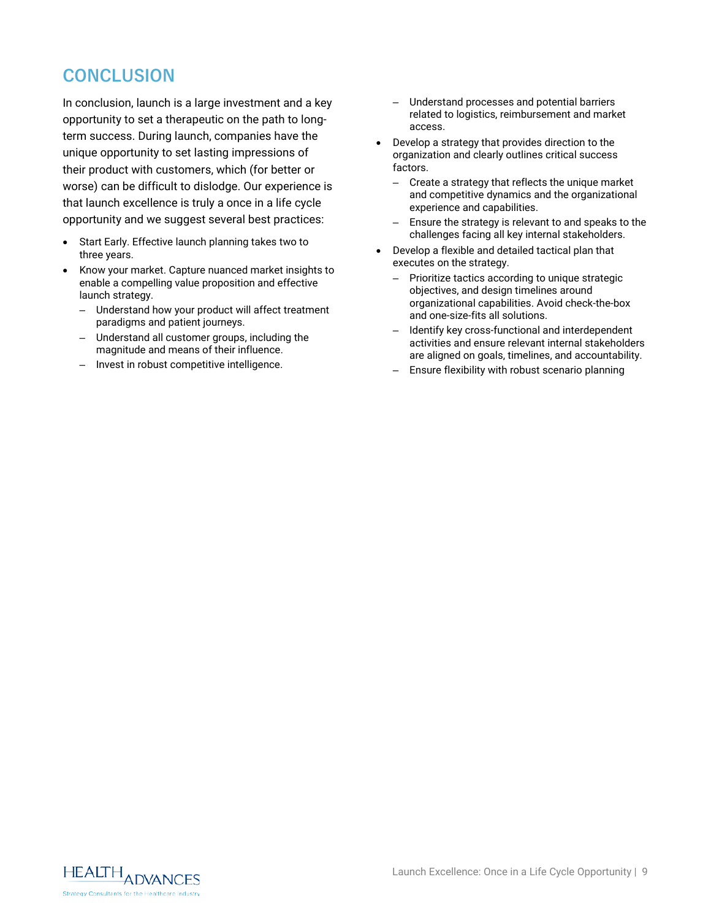## **CONCLUSION**

In conclusion, launch is a large investment and a key opportunity to set a therapeutic on the path to longterm success. During launch, companies have the unique opportunity to set lasting impressions of their product with customers, which (for better or worse) can be difficult to dislodge. Our experience is that launch excellence is truly a once in a life cycle opportunity and we suggest several best practices:

- Start Early. Effective launch planning takes two to three years.
- Know your market. Capture nuanced market insights to enable a compelling value proposition and effective launch strategy.
	- Understand how your product will affect treatment paradigms and patient journeys.
	- Understand all customer groups, including the magnitude and means of their influence.
	- Invest in robust competitive intelligence.
- Understand processes and potential barriers related to logistics, reimbursement and market access.
- Develop a strategy that provides direction to the organization and clearly outlines critical success factors.
	- Create a strategy that reflects the unique market and competitive dynamics and the organizational experience and capabilities.
	- Ensure the strategy is relevant to and speaks to the challenges facing all key internal stakeholders.
- Develop a flexible and detailed tactical plan that executes on the strategy.
	- Prioritize tactics according to unique strategic objectives, and design timelines around organizational capabilities. Avoid check-the-box and one-size-fits all solutions.
	- Identify key cross-functional and interdependent activities and ensure relevant internal stakeholders are aligned on goals, timelines, and accountability.
	- Ensure flexibility with robust scenario planning

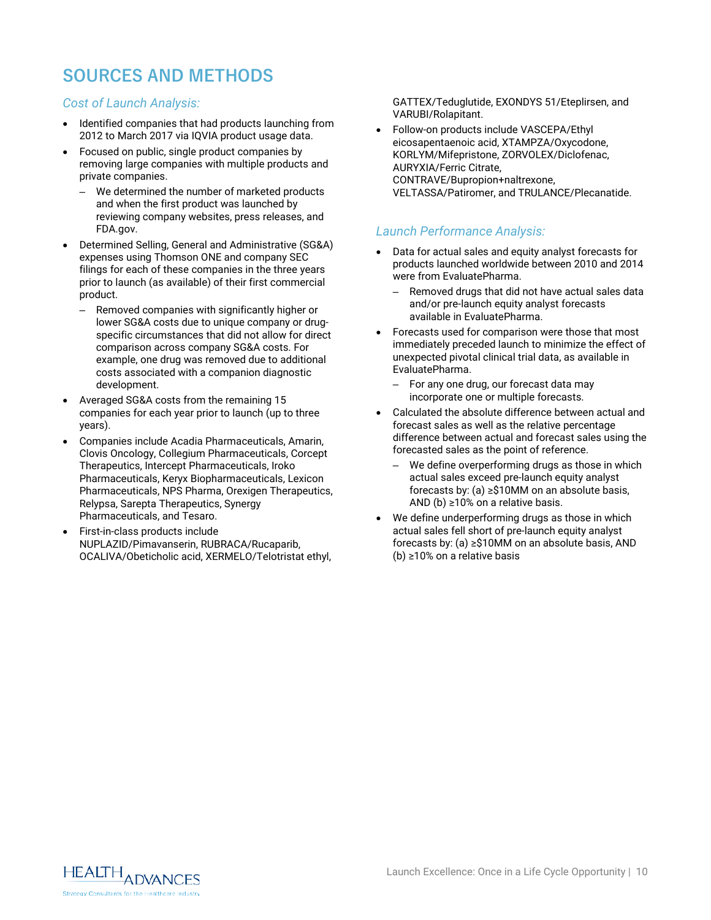## **SOURCES AND METHODS**

#### *Cost of Launch Analysis:*

- Identified companies that had products launching from 2012 to March 2017 via IQVIA product usage data.
- Focused on public, single product companies by removing large companies with multiple products and private companies.
	- We determined the number of marketed products and when the first product was launched by reviewing company websites, press releases, and FDA.gov.
- Determined Selling, General and Administrative (SG&A) expenses using Thomson ONE and company SEC filings for each of these companies in the three years prior to launch (as available) of their first commercial product.
	- Removed companies with significantly higher or lower SG&A costs due to unique company or drugspecific circumstances that did not allow for direct comparison across company SG&A costs. For example, one drug was removed due to additional costs associated with a companion diagnostic development.
- Averaged SG&A costs from the remaining 15 companies for each year prior to launch (up to three years).
- Companies include Acadia Pharmaceuticals, Amarin, Clovis Oncology, Collegium Pharmaceuticals, Corcept Therapeutics, Intercept Pharmaceuticals, Iroko Pharmaceuticals, Keryx Biopharmaceuticals, Lexicon Pharmaceuticals, NPS Pharma, Orexigen Therapeutics, Relypsa, Sarepta Therapeutics, Synergy Pharmaceuticals, and Tesaro.
- First-in-class products include NUPLAZID/Pimavanserin, RUBRACA/Rucaparib, OCALIVA/Obeticholic acid, XERMELO/Telotristat ethyl,

GATTEX/Teduglutide, EXONDYS 51/Eteplirsen, and VARUBI/Rolapitant.

• Follow-on products include VASCEPA/Ethyl eicosapentaenoic acid, XTAMPZA/Oxycodone, KORLYM/Mifepristone, ZORVOLEX/Diclofenac, AURYXIA/Ferric Citrate, CONTRAVE/Bupropion+naltrexone, VELTASSA/Patiromer, and TRULANCE/Plecanatide.

#### *Launch Performance Analysis:*

- Data for actual sales and equity analyst forecasts for products launched worldwide between 2010 and 2014 were from EvaluatePharma.
	- Removed drugs that did not have actual sales data and/or pre-launch equity analyst forecasts available in EvaluatePharma.
- Forecasts used for comparison were those that most immediately preceded launch to minimize the effect of unexpected pivotal clinical trial data, as available in EvaluatePharma.
	- For any one drug, our forecast data may incorporate one or multiple forecasts.
- Calculated the absolute difference between actual and forecast sales as well as the relative percentage difference between actual and forecast sales using the forecasted sales as the point of reference.
	- We define overperforming drugs as those in which actual sales exceed pre-launch equity analyst forecasts by: (a) ≥\$10MM on an absolute basis, AND (b) ≥10% on a relative basis.
- We define underperforming drugs as those in which actual sales fell short of pre-launch equity analyst forecasts by: (a) ≥\$10MM on an absolute basis, AND (b) ≥10% on a relative basis